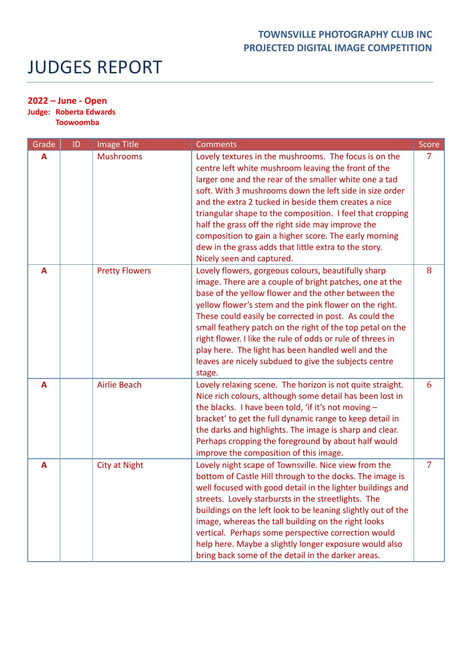## JUDGES REPORT

## **2022 – June - Open**

**Judge: Roberta Edwards**

**Toowoomba**

| Grade | ID | Image Title           | <b>Comments</b>                                                                                                                                                                                                                                                                                                                                                                                                                                                                                                                                            | Score |
|-------|----|-----------------------|------------------------------------------------------------------------------------------------------------------------------------------------------------------------------------------------------------------------------------------------------------------------------------------------------------------------------------------------------------------------------------------------------------------------------------------------------------------------------------------------------------------------------------------------------------|-------|
| A     |    | <b>Mushrooms</b>      | Lovely textures in the mushrooms. The focus is on the<br>centre left white mushroom leaving the front of the<br>larger one and the rear of the smaller white one a tad<br>soft. With 3 mushrooms down the left side in size order<br>and the extra 2 tucked in beside them creates a nice<br>triangular shape to the composition. I feel that cropping<br>half the grass off the right side may improve the<br>composition to gain a higher score. The early morning<br>dew in the grass adds that little extra to the story.<br>Nicely seen and captured. |       |
| A     |    | <b>Pretty Flowers</b> | Lovely flowers, gorgeous colours, beautifully sharp<br>image. There are a couple of bright patches, one at the<br>base of the yellow flower and the other between the<br>yellow flower's stem and the pink flower on the right.<br>These could easily be corrected in post. As could the<br>small feathery patch on the right of the top petal on the<br>right flower. I like the rule of odds or rule of threes in<br>play here. The light has been handled well and the<br>leaves are nicely subdued to give the subjects centre<br>stage.               | 8     |
| A     |    | <b>Airlie Beach</b>   | Lovely relaxing scene. The horizon is not quite straight.<br>Nice rich colours, although some detail has been lost in<br>the blacks. I have been told, 'if it's not moving -<br>bracket' to get the full dynamic range to keep detail in<br>the darks and highlights. The image is sharp and clear.<br>Perhaps cropping the foreground by about half would<br>improve the composition of this image.                                                                                                                                                       | 6     |
| A     |    | <b>City at Night</b>  | Lovely night scape of Townsville. Nice view from the<br>bottom of Castle Hill through to the docks. The image is<br>well focused with good detail in the lighter buildings and<br>streets. Lovely starbursts in the streetlights. The<br>buildings on the left look to be leaning slightly out of the<br>image, whereas the tall building on the right looks<br>vertical. Perhaps some perspective correction would<br>help here. Maybe a slightly longer exposure would also<br>bring back some of the detail in the darker areas.                        | 7     |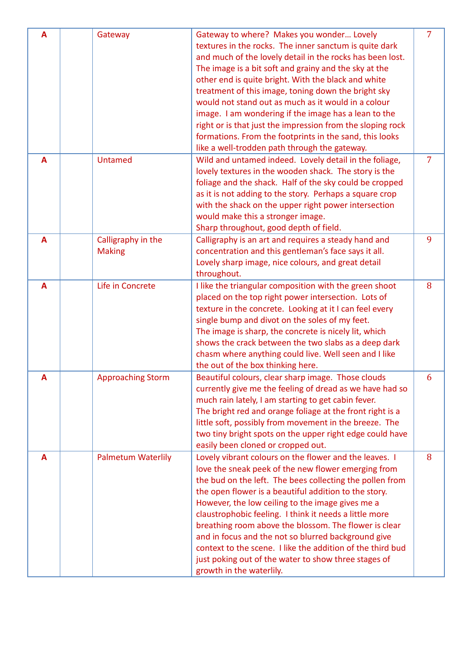| A            | Gateway                   | Gateway to where? Makes you wonder Lovely                                                                           | 7 |
|--------------|---------------------------|---------------------------------------------------------------------------------------------------------------------|---|
|              |                           |                                                                                                                     |   |
|              |                           | textures in the rocks. The inner sanctum is quite dark                                                              |   |
|              |                           | and much of the lovely detail in the rocks has been lost.                                                           |   |
|              |                           | The image is a bit soft and grainy and the sky at the                                                               |   |
|              |                           | other end is quite bright. With the black and white                                                                 |   |
|              |                           | treatment of this image, toning down the bright sky                                                                 |   |
|              |                           | would not stand out as much as it would in a colour                                                                 |   |
|              |                           | image. I am wondering if the image has a lean to the                                                                |   |
|              |                           | right or is that just the impression from the sloping rock                                                          |   |
|              |                           | formations. From the footprints in the sand, this looks                                                             |   |
|              |                           | like a well-trodden path through the gateway.                                                                       |   |
| $\mathbf{A}$ | <b>Untamed</b>            | Wild and untamed indeed. Lovely detail in the foliage,                                                              | 7 |
|              |                           | lovely textures in the wooden shack. The story is the                                                               |   |
|              |                           | foliage and the shack. Half of the sky could be cropped                                                             |   |
|              |                           | as it is not adding to the story. Perhaps a square crop                                                             |   |
|              |                           | with the shack on the upper right power intersection                                                                |   |
|              |                           | would make this a stronger image.                                                                                   |   |
|              |                           | Sharp throughout, good depth of field.                                                                              |   |
| A            | Calligraphy in the        | Calligraphy is an art and requires a steady hand and                                                                | 9 |
|              | <b>Making</b>             | concentration and this gentleman's face says it all.                                                                |   |
|              |                           | Lovely sharp image, nice colours, and great detail                                                                  |   |
|              |                           | throughout.                                                                                                         |   |
| A            | Life in Concrete          | I like the triangular composition with the green shoot                                                              | 8 |
|              |                           | placed on the top right power intersection. Lots of                                                                 |   |
|              |                           | texture in the concrete. Looking at it I can feel every                                                             |   |
|              |                           | single bump and divot on the soles of my feet.                                                                      |   |
|              |                           | The image is sharp, the concrete is nicely lit, which                                                               |   |
|              |                           | shows the crack between the two slabs as a deep dark                                                                |   |
|              |                           | chasm where anything could live. Well seen and I like                                                               |   |
|              |                           | the out of the box thinking here.                                                                                   |   |
| A            | <b>Approaching Storm</b>  | Beautiful colours, clear sharp image. Those clouds                                                                  | 6 |
|              |                           | currently give me the feeling of dread as we have had so                                                            |   |
|              |                           | much rain lately, I am starting to get cabin fever.                                                                 |   |
|              |                           |                                                                                                                     |   |
|              |                           | The bright red and orange foliage at the front right is a<br>little soft, possibly from movement in the breeze. The |   |
|              |                           |                                                                                                                     |   |
|              |                           | two tiny bright spots on the upper right edge could have                                                            |   |
|              |                           | easily been cloned or cropped out.                                                                                  |   |
| A            | <b>Palmetum Waterlily</b> | Lovely vibrant colours on the flower and the leaves. I                                                              | 8 |
|              |                           | love the sneak peek of the new flower emerging from                                                                 |   |
|              |                           | the bud on the left. The bees collecting the pollen from                                                            |   |
|              |                           | the open flower is a beautiful addition to the story.                                                               |   |
|              |                           | However, the low ceiling to the image gives me a                                                                    |   |
|              |                           | claustrophobic feeling. I think it needs a little more                                                              |   |
|              |                           | breathing room above the blossom. The flower is clear                                                               |   |
|              |                           | and in focus and the not so blurred background give                                                                 |   |
|              |                           | context to the scene. I like the addition of the third bud                                                          |   |
|              |                           | just poking out of the water to show three stages of                                                                |   |
|              |                           | growth in the waterlily.                                                                                            |   |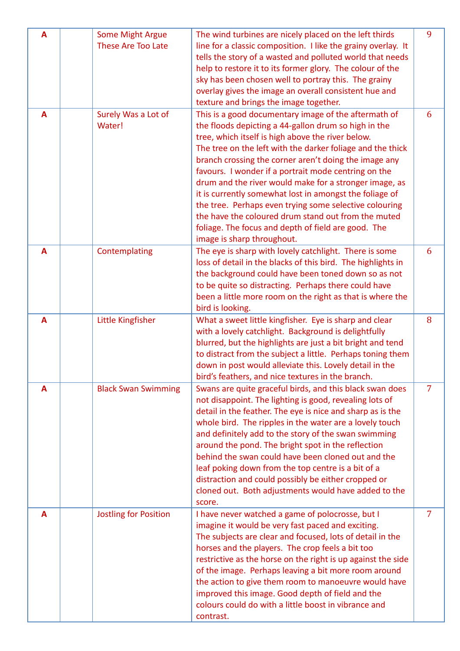| A            | <b>Some Might Argue</b><br><b>These Are Too Late</b> | The wind turbines are nicely placed on the left thirds<br>line for a classic composition. I like the grainy overlay. It<br>tells the story of a wasted and polluted world that needs<br>help to restore it to its former glory. The colour of the<br>sky has been chosen well to portray this. The grainy<br>overlay gives the image an overall consistent hue and<br>texture and brings the image together.                                                                                                                                                                                                                                                                | 9              |
|--------------|------------------------------------------------------|-----------------------------------------------------------------------------------------------------------------------------------------------------------------------------------------------------------------------------------------------------------------------------------------------------------------------------------------------------------------------------------------------------------------------------------------------------------------------------------------------------------------------------------------------------------------------------------------------------------------------------------------------------------------------------|----------------|
| $\mathbf{A}$ | Surely Was a Lot of<br>Water!                        | This is a good documentary image of the aftermath of<br>the floods depicting a 44-gallon drum so high in the<br>tree, which itself is high above the river below.<br>The tree on the left with the darker foliage and the thick<br>branch crossing the corner aren't doing the image any<br>favours. I wonder if a portrait mode centring on the<br>drum and the river would make for a stronger image, as<br>it is currently somewhat lost in amongst the foliage of<br>the tree. Perhaps even trying some selective colouring<br>the have the coloured drum stand out from the muted<br>foliage. The focus and depth of field are good. The<br>image is sharp throughout. | 6              |
| A            | Contemplating                                        | The eye is sharp with lovely catchlight. There is some<br>loss of detail in the blacks of this bird. The highlights in<br>the background could have been toned down so as not<br>to be quite so distracting. Perhaps there could have<br>been a little more room on the right as that is where the<br>bird is looking.                                                                                                                                                                                                                                                                                                                                                      | 6              |
| A            | Little Kingfisher                                    | What a sweet little kingfisher. Eye is sharp and clear<br>with a lovely catchlight. Background is delightfully<br>blurred, but the highlights are just a bit bright and tend<br>to distract from the subject a little. Perhaps toning them<br>down in post would alleviate this. Lovely detail in the<br>bird's feathers, and nice textures in the branch.                                                                                                                                                                                                                                                                                                                  | 8              |
| A            | <b>Black Swan Swimming</b>                           | Swans are quite graceful birds, and this black swan does<br>not disappoint. The lighting is good, revealing lots of<br>detail in the feather. The eye is nice and sharp as is the<br>whole bird. The ripples in the water are a lovely touch<br>and definitely add to the story of the swan swimming<br>around the pond. The bright spot in the reflection<br>behind the swan could have been cloned out and the<br>leaf poking down from the top centre is a bit of a<br>distraction and could possibly be either cropped or<br>cloned out. Both adjustments would have added to the<br>score.                                                                             | $\overline{7}$ |
| A            | <b>Jostling for Position</b>                         | I have never watched a game of polocrosse, but I<br>imagine it would be very fast paced and exciting.<br>The subjects are clear and focused, lots of detail in the<br>horses and the players. The crop feels a bit too<br>restrictive as the horse on the right is up against the side<br>of the image. Perhaps leaving a bit more room around<br>the action to give them room to manoeuvre would have<br>improved this image. Good depth of field and the<br>colours could do with a little boost in vibrance and<br>contrast.                                                                                                                                             | 7              |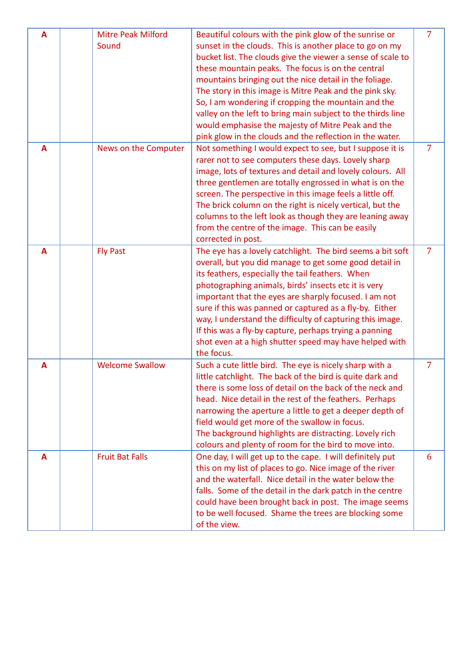| A | <b>Mitre Peak Milford</b><br>Sound | Beautiful colours with the pink glow of the sunrise or<br>sunset in the clouds. This is another place to go on my<br>bucket list. The clouds give the viewer a sense of scale to<br>these mountain peaks. The focus is on the central<br>mountains bringing out the nice detail in the foliage.<br>The story in this image is Mitre Peak and the pink sky.<br>So, I am wondering if cropping the mountain and the<br>valley on the left to bring main subject to the thirds line<br>would emphasise the majesty of Mitre Peak and the<br>pink glow in the clouds and the reflection in the water. | 7 |
|---|------------------------------------|---------------------------------------------------------------------------------------------------------------------------------------------------------------------------------------------------------------------------------------------------------------------------------------------------------------------------------------------------------------------------------------------------------------------------------------------------------------------------------------------------------------------------------------------------------------------------------------------------|---|
| A | News on the Computer               | Not something I would expect to see, but I suppose it is<br>rarer not to see computers these days. Lovely sharp<br>image, lots of textures and detail and lovely colours. All<br>three gentlemen are totally engrossed in what is on the<br>screen. The perspective in this image feels a little off.<br>The brick column on the right is nicely vertical, but the<br>columns to the left look as though they are leaning away<br>from the centre of the image. This can be easily<br>corrected in post.                                                                                          | 7 |
| A | <b>Fly Past</b>                    | The eye has a lovely catchlight. The bird seems a bit soft<br>overall, but you did manage to get some good detail in<br>its feathers, especially the tail feathers. When<br>photographing animals, birds' insects etc it is very<br>important that the eyes are sharply focused. I am not<br>sure if this was panned or captured as a fly-by. Either<br>way, I understand the difficulty of capturing this image.<br>If this was a fly-by capture, perhaps trying a panning<br>shot even at a high shutter speed may have helped with<br>the focus.                                               | 7 |
| A | <b>Welcome Swallow</b>             | Such a cute little bird. The eye is nicely sharp with a<br>little catchlight. The back of the bird is quite dark and<br>there is some loss of detail on the back of the neck and<br>head. Nice detail in the rest of the feathers. Perhaps<br>narrowing the aperture a little to get a deeper depth of<br>field would get more of the swallow in focus.<br>The background highlights are distracting. Lovely rich<br>colours and plenty of room for the bird to move into.                                                                                                                        | 7 |
| A | <b>Fruit Bat Falls</b>             | One day, I will get up to the cape. I will definitely put<br>this on my list of places to go. Nice image of the river<br>and the waterfall. Nice detail in the water below the<br>falls. Some of the detail in the dark patch in the centre<br>could have been brought back in post. The image seems<br>to be well focused. Shame the trees are blocking some<br>of the view.                                                                                                                                                                                                                     | 6 |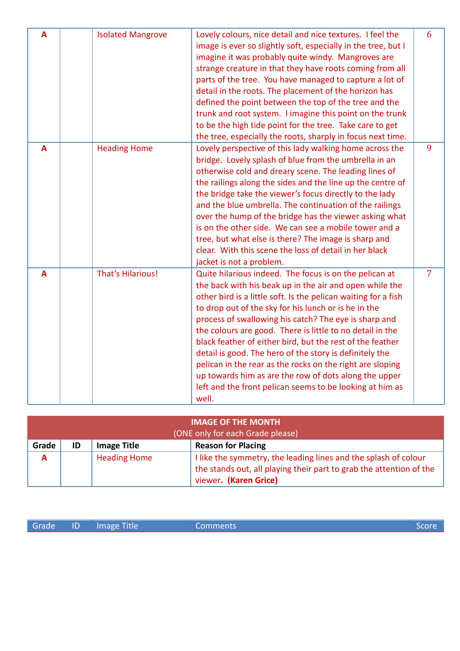| A | <b>Isolated Mangrove</b> | Lovely colours, nice detail and nice textures. I feel the<br>image is ever so slightly soft, especially in the tree, but I<br>imagine it was probably quite windy. Mangroves are<br>strange creature in that they have roots coming from all<br>parts of the tree. You have managed to capture a lot of<br>detail in the roots. The placement of the horizon has<br>defined the point between the top of the tree and the<br>trunk and root system. I imagine this point on the trunk<br>to be the high tide point for the tree. Take care to get<br>the tree, especially the roots, sharply in focus next time.                                                                     | 6              |
|---|--------------------------|--------------------------------------------------------------------------------------------------------------------------------------------------------------------------------------------------------------------------------------------------------------------------------------------------------------------------------------------------------------------------------------------------------------------------------------------------------------------------------------------------------------------------------------------------------------------------------------------------------------------------------------------------------------------------------------|----------------|
| A | <b>Heading Home</b>      | Lovely perspective of this lady walking home across the<br>bridge. Lovely splash of blue from the umbrella in an<br>otherwise cold and dreary scene. The leading lines of<br>the railings along the sides and the line up the centre of<br>the bridge take the viewer's focus directly to the lady<br>and the blue umbrella. The continuation of the railings<br>over the hump of the bridge has the viewer asking what<br>is on the other side. We can see a mobile tower and a<br>tree, but what else is there? The image is sharp and<br>clear. With this scene the loss of detail in her black<br>jacket is not a problem.                                                       | 9              |
| A | <b>That's Hilarious!</b> | Quite hilarious indeed. The focus is on the pelican at<br>the back with his beak up in the air and open while the<br>other bird is a little soft. Is the pelican waiting for a fish<br>to drop out of the sky for his lunch or is he in the<br>process of swallowing his catch? The eye is sharp and<br>the colours are good. There is little to no detail in the<br>black feather of either bird, but the rest of the feather<br>detail is good. The hero of the story is definitely the<br>pelican in the rear as the rocks on the right are sloping<br>up towards him as are the row of dots along the upper<br>left and the front pelican seems to be looking at him as<br>well. | $\overline{7}$ |

| <b>IMAGE OF THE MONTH</b><br>(ONE only for each Grade please) |    |                     |                                                                                                                                                                 |
|---------------------------------------------------------------|----|---------------------|-----------------------------------------------------------------------------------------------------------------------------------------------------------------|
| Grade                                                         | ID | <b>Image Title</b>  | <b>Reason for Placing</b>                                                                                                                                       |
| A                                                             |    | <b>Heading Home</b> | I like the symmetry, the leading lines and the splash of colour<br>the stands out, all playing their part to grab the attention of the<br>viewer. (Karen Grice) |

|  | Grade ID Image Title | Comments | 'Score |
|--|----------------------|----------|--------|
|  |                      |          |        |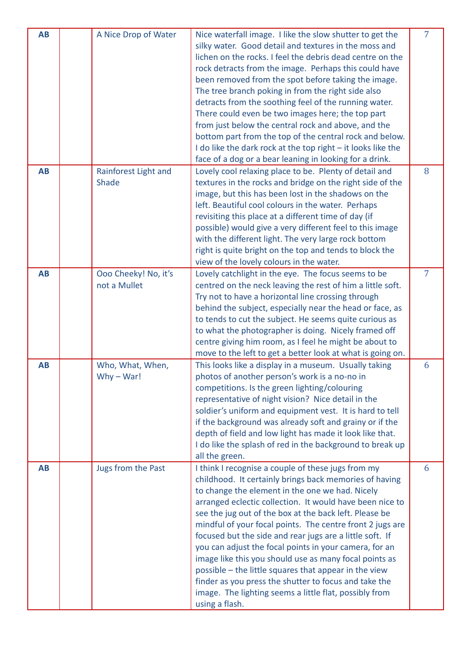| <b>AB</b> | A Nice Drop of Water                 | Nice waterfall image. I like the slow shutter to get the<br>silky water. Good detail and textures in the moss and<br>lichen on the rocks. I feel the debris dead centre on the<br>rock detracts from the image. Perhaps this could have<br>been removed from the spot before taking the image.<br>The tree branch poking in from the right side also<br>detracts from the soothing feel of the running water.<br>There could even be two images here; the top part<br>from just below the central rock and above, and the<br>bottom part from the top of the central rock and below.<br>I do like the dark rock at the top right - it looks like the<br>face of a dog or a bear leaning in looking for a drink.                  | $\overline{7}$ |
|-----------|--------------------------------------|----------------------------------------------------------------------------------------------------------------------------------------------------------------------------------------------------------------------------------------------------------------------------------------------------------------------------------------------------------------------------------------------------------------------------------------------------------------------------------------------------------------------------------------------------------------------------------------------------------------------------------------------------------------------------------------------------------------------------------|----------------|
| <b>AB</b> | Rainforest Light and<br>Shade        | Lovely cool relaxing place to be. Plenty of detail and<br>textures in the rocks and bridge on the right side of the<br>image, but this has been lost in the shadows on the<br>left. Beautiful cool colours in the water. Perhaps<br>revisiting this place at a different time of day (if<br>possible) would give a very different feel to this image<br>with the different light. The very large rock bottom<br>right is quite bright on the top and tends to block the<br>view of the lovely colours in the water.                                                                                                                                                                                                              | 8              |
| <b>AB</b> | Ooo Cheeky! No, it's<br>not a Mullet | Lovely catchlight in the eye. The focus seems to be<br>centred on the neck leaving the rest of him a little soft.<br>Try not to have a horizontal line crossing through<br>behind the subject, especially near the head or face, as<br>to tends to cut the subject. He seems quite curious as<br>to what the photographer is doing. Nicely framed off<br>centre giving him room, as I feel he might be about to<br>move to the left to get a better look at what is going on.                                                                                                                                                                                                                                                    | $\overline{7}$ |
| <b>AB</b> | Who, What, When,<br>$Why - War!$     | This looks like a display in a museum. Usually taking<br>photos of another person's work is a no-no in<br>competitions. Is the green lighting/colouring<br>representative of night vision? Nice detail in the<br>soldier's uniform and equipment vest. It is hard to tell<br>if the background was already soft and grainy or if the<br>depth of field and low light has made it look like that.<br>I do like the splash of red in the background to break up<br>all the green.                                                                                                                                                                                                                                                  | 6              |
| <b>AB</b> | Jugs from the Past                   | I think I recognise a couple of these jugs from my<br>childhood. It certainly brings back memories of having<br>to change the element in the one we had. Nicely<br>arranged eclectic collection. It would have been nice to<br>see the jug out of the box at the back left. Please be<br>mindful of your focal points. The centre front 2 jugs are<br>focused but the side and rear jugs are a little soft. If<br>you can adjust the focal points in your camera, for an<br>image like this you should use as many focal points as<br>possible - the little squares that appear in the view<br>finder as you press the shutter to focus and take the<br>image. The lighting seems a little flat, possibly from<br>using a flash. | 6              |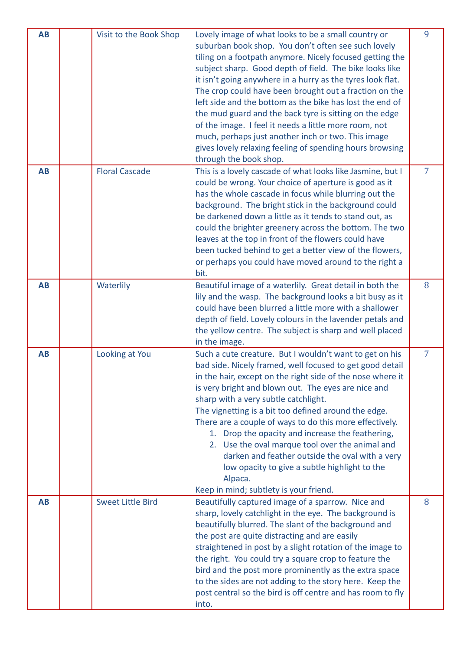| <b>AB</b> | Visit to the Book Shop   | Lovely image of what looks to be a small country or<br>suburban book shop. You don't often see such lovely<br>tiling on a footpath anymore. Nicely focused getting the<br>subject sharp. Good depth of field. The bike looks like<br>it isn't going anywhere in a hurry as the tyres look flat.<br>The crop could have been brought out a fraction on the<br>left side and the bottom as the bike has lost the end of<br>the mud guard and the back tyre is sitting on the edge<br>of the image. I feel it needs a little more room, not<br>much, perhaps just another inch or two. This image<br>gives lovely relaxing feeling of spending hours browsing<br>through the book shop. | 9              |
|-----------|--------------------------|--------------------------------------------------------------------------------------------------------------------------------------------------------------------------------------------------------------------------------------------------------------------------------------------------------------------------------------------------------------------------------------------------------------------------------------------------------------------------------------------------------------------------------------------------------------------------------------------------------------------------------------------------------------------------------------|----------------|
| <b>AB</b> | <b>Floral Cascade</b>    | This is a lovely cascade of what looks like Jasmine, but I<br>could be wrong. Your choice of aperture is good as it<br>has the whole cascade in focus while blurring out the<br>background. The bright stick in the background could<br>be darkened down a little as it tends to stand out, as<br>could the brighter greenery across the bottom. The two<br>leaves at the top in front of the flowers could have<br>been tucked behind to get a better view of the flowers,<br>or perhaps you could have moved around to the right a<br>bit.                                                                                                                                         | $\overline{7}$ |
| <b>AB</b> | Waterlily                | Beautiful image of a waterlily. Great detail in both the<br>lily and the wasp. The background looks a bit busy as it<br>could have been blurred a little more with a shallower<br>depth of field. Lovely colours in the lavender petals and<br>the yellow centre. The subject is sharp and well placed<br>in the image.                                                                                                                                                                                                                                                                                                                                                              | 8              |
| <b>AB</b> | Looking at You           | Such a cute creature. But I wouldn't want to get on his<br>bad side. Nicely framed, well focused to get good detail<br>in the hair, except on the right side of the nose where it<br>is very bright and blown out. The eyes are nice and<br>sharp with a very subtle catchlight.<br>The vignetting is a bit too defined around the edge.<br>There are a couple of ways to do this more effectively.<br>1. Drop the opacity and increase the feathering,<br>2. Use the oval marque tool over the animal and<br>darken and feather outside the oval with a very<br>low opacity to give a subtle highlight to the<br>Alpaca.<br>Keep in mind; subtlety is your friend.                  | 7              |
| <b>AB</b> | <b>Sweet Little Bird</b> | Beautifully captured image of a sparrow. Nice and<br>sharp, lovely catchlight in the eye. The background is<br>beautifully blurred. The slant of the background and<br>the post are quite distracting and are easily<br>straightened in post by a slight rotation of the image to<br>the right. You could try a square crop to feature the<br>bird and the post more prominently as the extra space<br>to the sides are not adding to the story here. Keep the<br>post central so the bird is off centre and has room to fly<br>into.                                                                                                                                                | 8              |